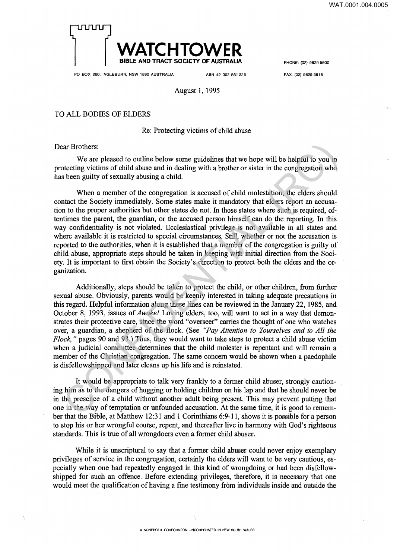

**PHONE: (02) 9829 5600** 

**PO BOX 280, INGLEBURN, NSW 1890 AUSTRALIA ABN 42 002 861 225** 

**FAX: (02) 9829 3616** 

## August 1,1995

## TO ALL BODIES OF ELDERS

## Re: Protecting victims of child abuse

Dear Brothers:

We are pleased to outline below some guidelines that we hope will be helpful to you in protecting victims of child abuse and in dealing with a brother or sister in the congregation who has been guilty of sexually abusing a child.

When a member of the congregation is accused of child molestation, the elders should contact the Society immediately. Some states make it mandatory that elders report an accusation to the proper authorities but other states do not. In those states where such is required, oftentimes the parent, the guardian, or the accused person himself can do the reporting. In this way confidentiality is not violated. Ecclesiastical privilege is not available in all states and where available it is restricted to special circumstances. Still, whether or not the accusation is reported to the authorities, when it is established that a member of the congregation is guilty of child abuse, appropriate steps should be taken in keeping with initial direction from the Society. It is important to first obtain the Society's direction to protect both the elders and the organization. ar Brothers:<br>
We are peased to outline below some guidelines that we hope will be helpful to you in<br>
We are peased to outline below some guidelines that we hope will be helpful to you in<br>
between guilty of sexually abusin

Additionally, steps should be taken to protect the child, or other children, from further sexual abuse. Obviously, parents would be keenly interested in taking adequate precautions in this regard. Helpful information along these lines can be reviewed in the January 22, 1985, and October 8, 1993, issues of *Awake!* Loving elders , too, will want to act in a way that demon strates their protective care, since the word "overseer" carries the thought of one who watches over, a guardian, a shepherd of the flock. (See *"Pay Attention to Yourselves and to All the Flock*," pages 90 and 93.) Thus, they would want to take steps to protect a child abuse victim when a judicial committee determines that the child molester is repentant and will remain a member of the Christian congregation. The same concern would be shown when a paedophile is disfellowshipped and later cleans up his life and is reinstated.

It would be appropriate to talk very frankly to a former child abuser, strongly cautioning him as to the dangers of hugging or holding children on his lap and that he should never be in the presence of a child without another adult being present. This may prevent putting that one in the way of temptation or unfounded accusation. At the same time, it is good to remember that the Bible, at Matthew 12:31 and 1 Corinthians 6:9-11, shows it is possible for a person to stop his or her wrongful course, repent, and thereafter live in harmony with God's righteous standards. This is true of all wrongdoers even a former child abuser.

While it is unscriptural to say that a former child abuser could never enjoy exemplary privileges of service in the congregation, certainly the elders will want to be very cautious, especially when one had repeatedly engaged in this kind of wrongdoing or had been disfellowshipped for such an offence. Before extending privileges, therefore, it is necessary that one Would meet the qualification of having a fine testimony from individuals inside and outside the